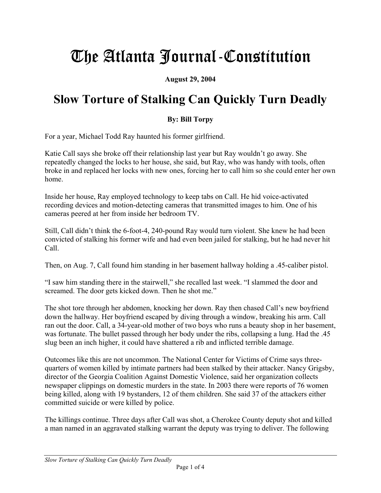# The Atlanta Journal-Constitution

**August 29, 2004** 

# **Slow Torture of Stalking Can Quickly Turn Deadly**

## **By: Bill Torpy**

For a year, Michael Todd Ray haunted his former girlfriend.

Katie Call says she broke off their relationship last year but Ray wouldn't go away. She repeatedly changed the locks to her house, she said, but Ray, who was handy with tools, often broke in and replaced her locks with new ones, forcing her to call him so she could enter her own home.

Inside her house, Ray employed technology to keep tabs on Call. He hid voice-activated recording devices and motion-detecting cameras that transmitted images to him. One of his cameras peered at her from inside her bedroom TV.

Still, Call didn't think the 6-foot-4, 240-pound Ray would turn violent. She knew he had been convicted of stalking his former wife and had even been jailed for stalking, but he had never hit Call.

Then, on Aug. 7, Call found him standing in her basement hallway holding a .45-caliber pistol.

"I saw him standing there in the stairwell," she recalled last week. "I slammed the door and screamed. The door gets kicked down. Then he shot me."

The shot tore through her abdomen, knocking her down. Ray then chased Call's new boyfriend down the hallway. Her boyfriend escaped by diving through a window, breaking his arm. Call ran out the door. Call, a 34-year-old mother of two boys who runs a beauty shop in her basement, was fortunate. The bullet passed through her body under the ribs, collapsing a lung. Had the .45 slug been an inch higher, it could have shattered a rib and inflicted terrible damage.

Outcomes like this are not uncommon. The National Center for Victims of Crime says threequarters of women killed by intimate partners had been stalked by their attacker. Nancy Grigsby, director of the Georgia Coalition Against Domestic Violence, said her organization collects newspaper clippings on domestic murders in the state. In 2003 there were reports of 76 women being killed, along with 19 bystanders, 12 of them children. She said 37 of the attackers either committed suicide or were killed by police.

The killings continue. Three days after Call was shot, a Cherokee County deputy shot and killed a man named in an aggravated stalking warrant the deputy was trying to deliver. The following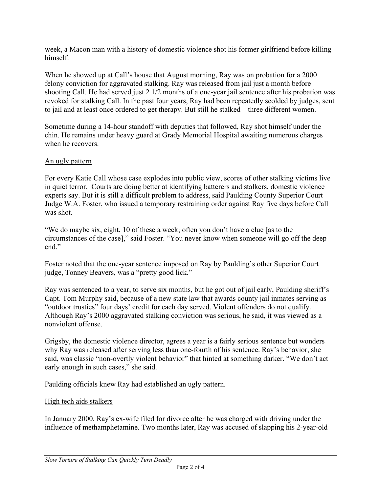week, a Macon man with a history of domestic violence shot his former girlfriend before killing himself.

When he showed up at Call's house that August morning, Ray was on probation for a 2000 felony conviction for aggravated stalking. Ray was released from jail just a month before shooting Call. He had served just 2 1/2 months of a one-year jail sentence after his probation was revoked for stalking Call. In the past four years, Ray had been repeatedly scolded by judges, sent to jail and at least once ordered to get therapy. But still he stalked – three different women.

Sometime during a 14-hour standoff with deputies that followed, Ray shot himself under the chin. He remains under heavy guard at Grady Memorial Hospital awaiting numerous charges when he recovers.

## An ugly pattern

For every Katie Call whose case explodes into public view, scores of other stalking victims live in quiet terror. Courts are doing better at identifying batterers and stalkers, domestic violence experts say. But it is still a difficult problem to address, said Paulding County Superior Court Judge W.A. Foster, who issued a temporary restraining order against Ray five days before Call was shot.

"We do maybe six, eight, 10 of these a week; often you don't have a clue [as to the circumstances of the case]," said Foster. "You never know when someone will go off the deep end"

Foster noted that the one-year sentence imposed on Ray by Paulding's other Superior Court judge, Tonney Beavers, was a "pretty good lick."

Ray was sentenced to a year, to serve six months, but he got out of jail early, Paulding sheriff's Capt. Tom Murphy said, because of a new state law that awards county jail inmates serving as "outdoor trusties" four days' credit for each day served. Violent offenders do not qualify. Although Ray's 2000 aggravated stalking conviction was serious, he said, it was viewed as a nonviolent offense.

Grigsby, the domestic violence director, agrees a year is a fairly serious sentence but wonders why Ray was released after serving less than one-fourth of his sentence. Ray's behavior, she said, was classic "non-overtly violent behavior" that hinted at something darker. "We don't act early enough in such cases," she said.

Paulding officials knew Ray had established an ugly pattern.

#### High tech aids stalkers

In January 2000, Ray's ex-wife filed for divorce after he was charged with driving under the influence of methamphetamine. Two months later, Ray was accused of slapping his 2-year-old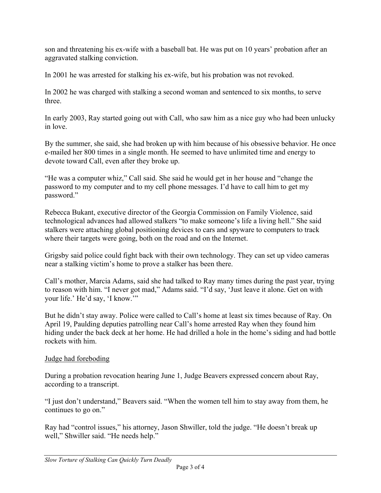son and threatening his ex-wife with a baseball bat. He was put on 10 years' probation after an aggravated stalking conviction.

In 2001 he was arrested for stalking his ex-wife, but his probation was not revoked.

In 2002 he was charged with stalking a second woman and sentenced to six months, to serve three.

In early 2003, Ray started going out with Call, who saw him as a nice guy who had been unlucky in love.

By the summer, she said, she had broken up with him because of his obsessive behavior. He once e-mailed her 800 times in a single month. He seemed to have unlimited time and energy to devote toward Call, even after they broke up.

"He was a computer whiz," Call said. She said he would get in her house and "change the password to my computer and to my cell phone messages. I'd have to call him to get my password."

Rebecca Bukant, executive director of the Georgia Commission on Family Violence, said technological advances had allowed stalkers "to make someone's life a living hell." She said stalkers were attaching global positioning devices to cars and spyware to computers to track where their targets were going, both on the road and on the Internet.

Grigsby said police could fight back with their own technology. They can set up video cameras near a stalking victim's home to prove a stalker has been there.

Call's mother, Marcia Adams, said she had talked to Ray many times during the past year, trying to reason with him. "I never got mad," Adams said. "I'd say, 'Just leave it alone. Get on with your life.' He'd say, 'I know.'"

But he didn't stay away. Police were called to Call's home at least six times because of Ray. On April 19, Paulding deputies patrolling near Call's home arrested Ray when they found him hiding under the back deck at her home. He had drilled a hole in the home's siding and had bottle rockets with him.

#### Judge had foreboding

During a probation revocation hearing June 1, Judge Beavers expressed concern about Ray, according to a transcript.

"I just don't understand," Beavers said. "When the women tell him to stay away from them, he continues to go on."

Ray had "control issues," his attorney, Jason Shwiller, told the judge. "He doesn't break up well," Shwiller said. "He needs help."